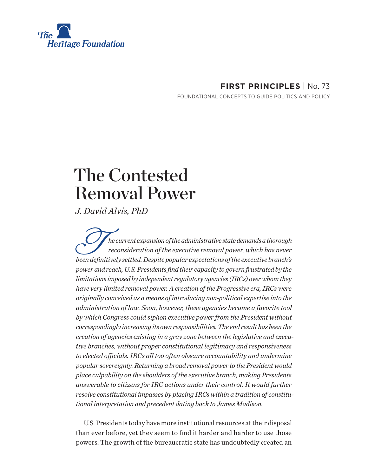

# **FIRST PRINCIPLES** | No. 73

FOUNDATIONAL CONCEPTS TO GUIDE POLITICS AND POLICY

# The Contested Removal Power

*J. David Alvis, PhD*

*be current expansion of the administrative state demands a thorough*<br> *reconsideration of the executive removal power, which has never*<br> *been definitively settled. Despite popular expectations of the executive branch's reconsideration of the executive removal power, which has never power and reach, U.S. Presidents find their capacity to govern frustrated by the limitations imposed by independent regulatory agencies (IRCs) over whom they have very limited removal power. A creation of the Progressive era, IRCs were originally conceived as a means of introducing non-political expertise into the administration of law. Soon, however, these agencies became a favorite tool by which Congress could siphon executive power from the President without correspondingly increasing its own responsibilities. The end result has been the creation of agencies existing in a gray zone between the legislative and executive branches, without proper constitutional legitimacy and responsiveness to elected officials. IRCs all too often obscure accountability and undermine popular sovereignty. Returning a broad removal power to the President would place culpability on the shoulders of the executive branch, making Presidents answerable to citizens for IRC actions under their control. It would further resolve constitutional impasses by placing IRCs within a tradition of constitutional interpretation and precedent dating back to James Madison.*

U.S. Presidents today have more institutional resources at their disposal than ever before, yet they seem to find it harder and harder to use those powers. The growth of the bureaucratic state has undoubtedly created an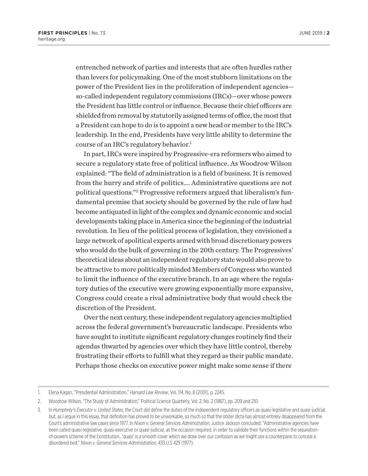entrenched network of parties and interests that are often hurdles rather than levers for policymaking. One of the most stubborn limitations on the power of the President lies in the proliferation of independent agencies so-called independent regulatory commissions (IRCs)—over whose powers the President has little control or influence. Because their chief officers are shielded from removal by statutorily assigned terms of office, the most that a President can hope to do is to appoint a new head or member to the IRC's leadership. In the end, Presidents have very little ability to determine the course of an IRC's regulatory behavior.<sup>1</sup>

In part, IRCs were inspired by Progressive-era reformers who aimed to secure a regulatory state free of political influence. As Woodrow Wilson explained: "The field of administration is a field of business. It is removed from the hurry and strife of politics…. Administrative questions are not political questions."2 Progressive reformers argued that liberalism's fundamental premise that society should be governed by the rule of law had become antiquated in light of the complex and dynamic economic and social developments taking place in America since the beginning of the industrial revolution. In lieu of the political process of legislation, they envisioned a large network of apolitical experts armed with broad discretionary powers who would do the bulk of governing in the 20th century. The Progressives' theoretical ideas about an independent regulatory state would also prove to be attractive to more politically minded Members of Congress who wanted to limit the influence of the executive branch. In an age where the regulatory duties of the executive were growing exponentially more expansive, Congress could create a rival administrative body that would check the discretion of the President.

Over the next century, these independent regulatory agencies multiplied across the federal government's bureaucratic landscape. Presidents who have sought to institute significant regulatory changes routinely find their agendas thwarted by agencies over which they have little control, thereby frustrating their efforts to fulfill what they regard as their public mandate. Perhaps those checks on executive power might make some sense if there

<sup>1.</sup> Elena Kagan, "Presidential Administration," *Harvard Law Review*, Vol. 114, No. 8 (2001), p. 2245.

<sup>2.</sup> Woodrow Wilson, "The Study of Administration," Political Science Quarterly, Vol. 2, No. 2 (1887), pp. 209 and 210.

<sup>3.</sup> In *Humphrey's Executor v. United States*, the Court did define the duties of the independent regulatory officers as quasi-legislative and quasi-judicial, but, as I argue in this essay, that definition has proved to be unworkable, so much so that the obiter dicta has almost entirely disappeared from the Court's administrative law cases since 1977. In *Nixon v. General Services Administration*, Justice Jackson concluded: "Administrative agencies have been called quasi-legislative, quasi-executive or quasi-judicial, as the occasion required, in order to validate their functions within the separationof-powers scheme of the Constitution…'quasi' is a smooth cover which we draw over our confusion as we might use a counterpane to conceal a disordered bed." *Nixon v. General Services Administration*, 433 U.S 425 (1977).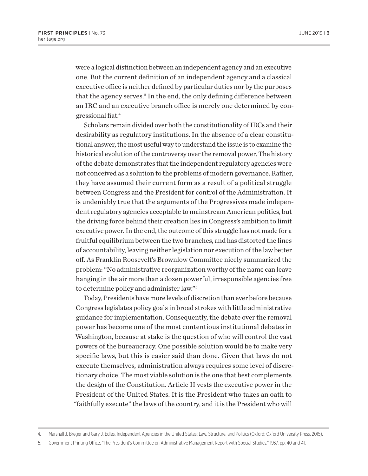were a logical distinction between an independent agency and an executive one. But the current definition of an independent agency and a classical executive office is neither defined by particular duties nor by the purposes that the agency serves.<sup>3</sup> In the end, the only defining difference between an IRC and an executive branch office is merely one determined by congressional fiat.4

Scholars remain divided over both the constitutionality of IRCs and their desirability as regulatory institutions. In the absence of a clear constitutional answer, the most useful way to understand the issue is to examine the historical evolution of the controversy over the removal power. The history of the debate demonstrates that the independent regulatory agencies were not conceived as a solution to the problems of modern governance. Rather, they have assumed their current form as a result of a political struggle between Congress and the President for control of the Administration. It is undeniably true that the arguments of the Progressives made independent regulatory agencies acceptable to mainstream American politics, but the driving force behind their creation lies in Congress's ambition to limit executive power. In the end, the outcome of this struggle has not made for a fruitful equilibrium between the two branches, and has distorted the lines of accountability, leaving neither legislation nor execution of the law better off. As Franklin Roosevelt's Brownlow Committee nicely summarized the problem: "No administrative reorganization worthy of the name can leave hanging in the air more than a dozen powerful, irresponsible agencies free to determine policy and administer law."5

Today, Presidents have more levels of discretion than ever before because Congress legislates policy goals in broad strokes with little administrative guidance for implementation. Consequently, the debate over the removal power has become one of the most contentious institutional debates in Washington, because at stake is the question of who will control the vast powers of the bureaucracy. One possible solution would be to make very specific laws, but this is easier said than done. Given that laws do not execute themselves, administration always requires some level of discretionary choice. The most viable solution is the one that best complements the design of the Constitution. Article II vests the executive power in the President of the United States. It is the President who takes an oath to "faithfully execute" the laws of the country, and it is the President who will

<sup>4.</sup> Marshall J. Breger and Gary J. Edles, Independent Agencies in the United States: Law, Structure, and Politics (Oxford: Oxford University Press, 2015).

<sup>5.</sup> Government Printing Office, "The President's Committee on Administrative Management Report with Special Studies," 1937, pp. 40 and 41.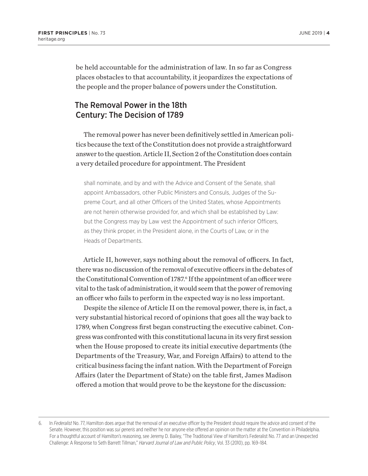be held accountable for the administration of law. In so far as Congress places obstacles to that accountability, it jeopardizes the expectations of the people and the proper balance of powers under the Constitution.

# The Removal Power in the 18th Century: The Decision of 1789

The removal power has never been definitively settled in American politics because the text of the Constitution does not provide a straightforward answer to the question. Article II, Section 2 of the Constitution does contain a very detailed procedure for appointment. The President

shall nominate, and by and with the Advice and Consent of the Senate, shall appoint Ambassadors, other Public Ministers and Consuls, Judges of the Supreme Court, and all other Officers of the United States, whose Appointments are not herein otherwise provided for, and which shall be established by Law: but the Congress may by Law vest the Appointment of such inferior Officers, as they think proper, in the President alone, in the Courts of Law, or in the Heads of Departments.

Article II, however, says nothing about the removal of officers. In fact, there was no discussion of the removal of executive officers in the debates of the Constitutional Convention of 1787.<sup>6</sup> If the appointment of an officer were vital to the task of administration, it would seem that the power of removing an officer who fails to perform in the expected way is no less important.

Despite the silence of Article II on the removal power, there is, in fact, a very substantial historical record of opinions that goes all the way back to 1789, when Congress first began constructing the executive cabinet. Congress was confronted with this constitutional lacuna in its very first session when the House proposed to create its initial executive departments (the Departments of the Treasury, War, and Foreign Affairs) to attend to the critical business facing the infant nation. With the Department of Foreign Affairs (later the Department of State) on the table first, James Madison offered a motion that would prove to be the keystone for the discussion:

<sup>6.</sup> In *Federalist* No. 77, Hamilton does argue that the removal of an executive officer by the President should require the advice and consent of the Senate. However, this position was *sui generis* and neither he nor anyone else offered an opinion on the matter at the Convention in Philadelphia. For a thoughtful account of Hamilton's reasoning, see Jeremy D. Bailey, "The Traditional View of Hamilton's Federalist No. 77 and an Unexpected Challenge: A Response to Seth Barrett Tillman," *Harvard Journal of Law and Public Policy*, Vol. 33 (2010), pp. 169–184.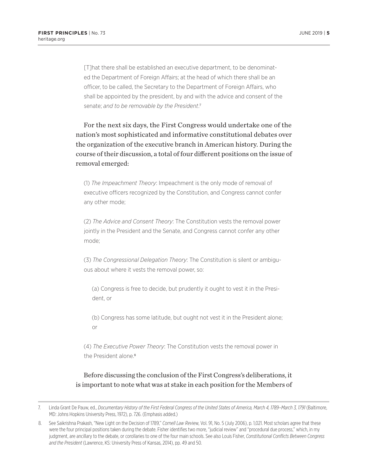[T]hat there shall be established an executive department, to be denominated the Department of Foreign Affairs; at the head of which there shall be an officer, to be called, the Secretary to the Department of Foreign Affairs, who shall be appointed by the president, by and with the advice and consent of the senate; *and to be removable by the President*. 7

For the next six days, the First Congress would undertake one of the nation's most sophisticated and informative constitutional debates over the organization of the executive branch in American history. During the course of their discussion, a total of four different positions on the issue of removal emerged:

(1) *The Impeachment Theory*: Impeachment is the only mode of removal of executive officers recognized by the Constitution, and Congress cannot confer any other mode;

(2) *The Advice and Consent Theory*: The Constitution vests the removal power jointly in the President and the Senate, and Congress cannot confer any other mode;

(3) *The Congressional Delegation Theory*: The Constitution is silent or ambiguous about where it vests the removal power, so:

(a) Congress is free to decide, but prudently it ought to vest it in the President, or

(b) Congress has some latitude, but ought not vest it in the President alone; or

(4) *The Executive Power Theory*: The Constitution vests the removal power in the President alone.<sup>8</sup>

#### Before discussing the conclusion of the First Congress's deliberations, it is important to note what was at stake in each position for the Members of

<sup>7.</sup> Linda Grant De Pauw, ed., *Documentary History of the First Federal Congress of the United States of America, March 4, 1789–March 3, 1791* (Baltimore, MD: Johns Hopkins University Press, 1972), p. 726. (Emphasis added.)

<sup>8.</sup> See Saikrishna Prakash, "New Light on the Decision of 1789," *Cornell Law Rev*iew, Vol. 91, No. 5 (July 2006), p. 1,021. Most scholars agree that these were the four principal positions taken during the debate. Fisher identifies two more, "judicial review" and "procedural due process," which, in my judgment, are ancillary to the debate, or corollaries to one of the four main schools. See also Louis Fisher, *Constitutional Conflicts Between Congress and the President* (Lawrence, KS: University Press of Kansas, 2014), pp. 49 and 50.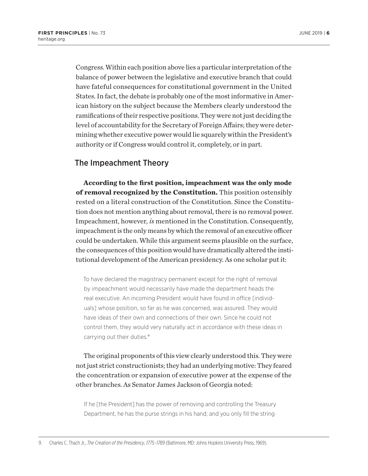Congress. Within each position above lies a particular interpretation of the balance of power between the legislative and executive branch that could have fateful consequences for constitutional government in the United States. In fact, the debate is probably one of the most informative in American history on the subject because the Members clearly understood the ramifications of their respective positions. They were not just deciding the level of accountability for the Secretary of Foreign Affairs; they were determining whether executive power would lie squarely within the President's authority or if Congress would control it, completely, or in part.

# The Impeachment Theory

**According to the first position, impeachment was the only mode of removal recognized by the Constitution.** This position ostensibly rested on a literal construction of the Constitution. Since the Constitution does not mention anything about removal, there is no removal power. Impeachment, however, *is* mentioned in the Constitution. Consequently, impeachment is the only means by which the removal of an executive officer could be undertaken. While this argument seems plausible on the surface, the consequences of this position would have dramatically altered the institutional development of the American presidency. As one scholar put it:

To have declared the magistracy permanent except for the right of removal by impeachment would necessarily have made the department heads the real executive. An incoming President would have found in office [individuals] whose position, so far as he was concerned, was assured. They would have ideas of their own and connections of their own. Since he could not control them, they would very naturally act in accordance with these ideas in carrying out their duties.<sup>9</sup>

The original proponents of this view clearly understood this. They were not just strict constructionists; they had an underlying motive: They feared the concentration or expansion of executive power at the expense of the other branches. As Senator James Jackson of Georgia noted:

If he [the President] has the power of removing and controlling the Treasury Department, he has the purse strings in his hand; and you only fill the string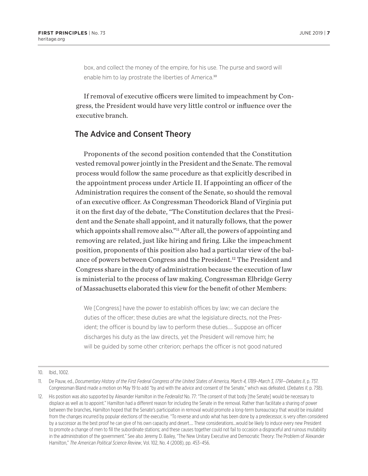box, and collect the money of the empire, for his use. The purse and sword will enable him to lay prostrate the liberties of America.<sup>10</sup>

If removal of executive officers were limited to impeachment by Congress, the President would have very little control or influence over the executive branch.

#### The Advice and Consent Theory

Proponents of the second position contended that the Constitution vested removal power jointly in the President and the Senate. The removal process would follow the same procedure as that explicitly described in the appointment process under Article II. If appointing an officer of the Administration requires the consent of the Senate, so should the removal of an executive officer. As Congressman Theodorick Bland of Virginia put it on the first day of the debate, "The Constitution declares that the President and the Senate shall appoint, and it naturally follows, that the power which appoints shall remove also."<sup>11</sup> After all, the powers of appointing and removing are related, just like hiring and firing. Like the impeachment position, proponents of this position also had a particular view of the balance of powers between Congress and the President.12 The President and Congress share in the duty of administration because the execution of law is ministerial to the process of law making. Congressman Elbridge Gerry of Massachusetts elaborated this view for the benefit of other Members:

We [Congress] have the power to establish offices by law; we can declare the duties of the officer; these duties are what the legislature directs, not the President; the officer is bound by law to perform these duties…. Suppose an officer discharges his duty as the law directs, yet the President will remove him; he will be guided by some other criterion; perhaps the officer is not good natured

<sup>10.</sup> Ibid., 1002.

<sup>11.</sup> De Pauw, ed., *Documentary History of the First Federal Congress of the United States of America, March 4, 1789–March 3, 1791—Debates II*, p. 737. Congressman Bland made a motion on May 19 to add "by and with the advice and consent of the Senate," which was defeated. (*Debates II*, p. 738).

<sup>12.</sup> His position was also supported by Alexander Hamilton in the *Federalist* No. 77: "The consent of that body [the Senate] would be necessary to displace as well as to appoint." Hamilton had a different reason for including the Senate in the removal. Rather than facilitate a sharing of power between the branches, Hamilton hoped that the Senate's participation in removal would promote a long-term bureaucracy that would be insulated from the changes incurred by popular elections of the executive. "To reverse and undo what has been done by a predecessor, is very often considered by a successor as the best proof he can give of his own capacity and desert…. These considerations…would be likely to induce every new President to promote a change of men to fill the subordinate stations; and these causes together could not fail to occasion a disgraceful and ruinous mutability in the administration of the government." See also Jeremy D. Bailey, "The New Unitary Executive and Democratic Theory: The Problem of Alexander Hamilton," *The American Political Science Review*, Vol. 102, No. 4 (2008), pp. 453–456.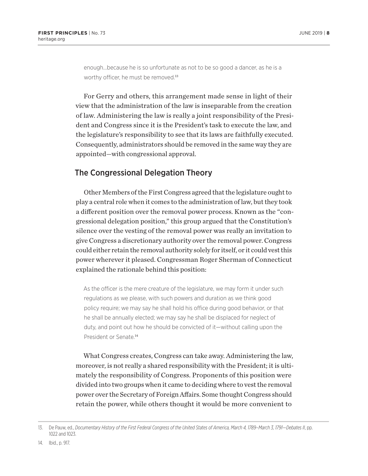enough…because he is so unfortunate as not to be so good a dancer, as he is a worthy officer, he must be removed.<sup>13</sup>

For Gerry and others, this arrangement made sense in light of their view that the administration of the law is inseparable from the creation of law. Administering the law is really a joint responsibility of the President and Congress since it is the President's task to execute the law, and the legislature's responsibility to see that its laws are faithfully executed. Consequently, administrators should be removed in the same way they are appointed—with congressional approval.

# The Congressional Delegation Theory

Other Members of the First Congress agreed that the legislature ought to play a central role when it comes to the administration of law, but they took a different position over the removal power process. Known as the "congressional delegation position," this group argued that the Constitution's silence over the vesting of the removal power was really an invitation to give Congress a discretionary authority over the removal power. Congress could either retain the removal authority solely for itself, or it could vest this power wherever it pleased. Congressman Roger Sherman of Connecticut explained the rationale behind this position:

As the officer is the mere creature of the legislature, we may form it under such regulations as we please, with such powers and duration as we think good policy require; we may say he shall hold his office during good behavior, or that he shall be annually elected; we may say he shall be displaced for neglect of duty, and point out how he should be convicted of it—without calling upon the President or Senate.<sup>14</sup>

What Congress creates, Congress can take away. Administering the law, moreover, is not really a shared responsibility with the President; it is ultimately the responsibility of Congress. Proponents of this position were divided into two groups when it came to deciding where to vest the removal power over the Secretary of Foreign Affairs. Some thought Congress should retain the power, while others thought it would be more convenient to

<sup>13.</sup> De Pauw, ed., *Documentary History of the First Federal Congress of the United States of America, March 4, 1789–March 3, 1791—Debates II*, pp. 1022 and 1023.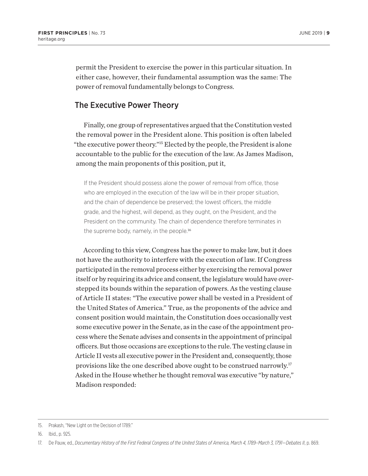permit the President to exercise the power in this particular situation. In either case, however, their fundamental assumption was the same: The power of removal fundamentally belongs to Congress.

#### The Executive Power Theory

Finally, one group of representatives argued that the Constitution vested the removal power in the President alone. This position is often labeled "the executive power theory."15 Elected by the people, the President is alone accountable to the public for the execution of the law. As James Madison, among the main proponents of this position, put it,

If the President should possess alone the power of removal from office, those who are employed in the execution of the law will be in their proper situation, and the chain of dependence be preserved; the lowest officers, the middle grade, and the highest, will depend, as they ought, on the President, and the President on the community. The chain of dependence therefore terminates in the supreme body, namely, in the people.<sup>16</sup>

According to this view, Congress has the power to make law, but it does not have the authority to interfere with the execution of law. If Congress participated in the removal process either by exercising the removal power itself or by requiring its advice and consent, the legislature would have overstepped its bounds within the separation of powers. As the vesting clause of Article II states: "The executive power shall be vested in a President of the United States of America." True, as the proponents of the advice and consent position would maintain, the Constitution does occasionally vest some executive power in the Senate, as in the case of the appointment process where the Senate advises and consents in the appointment of principal officers. But those occasions are exceptions to the rule. The vesting clause in Article II vests all executive power in the President and, consequently, those provisions like the one described above ought to be construed narrowly.17 Asked in the House whether he thought removal was executive "by nature," Madison responded:

<sup>15.</sup> Prakash, "New Light on the Decision of 1789."

<sup>16.</sup> Ibid., p. 925.

<sup>17.</sup> De Pauw, ed., *Documentary History of the First Federal Congress of the United States of America, March 4, 1789–March 3, 1791—Debates II*, p. 869.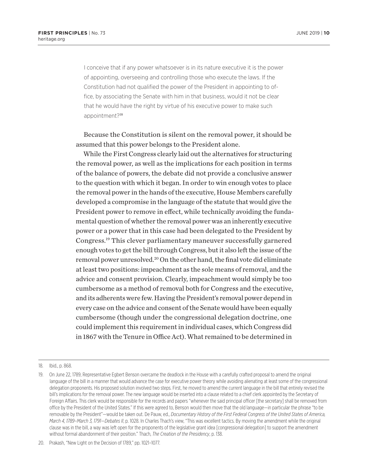I conceive that if any power whatsoever is in its nature executive it is the power of appointing, overseeing and controlling those who execute the laws. If the Constitution had not qualified the power of the President in appointing to office, by associating the Senate with him in that business, would it not be clear that he would have the right by virtue of his executive power to make such appointment?<sup>18</sup>

Because the Constitution is silent on the removal power, it should be assumed that this power belongs to the President alone.

While the First Congress clearly laid out the alternatives for structuring the removal power, as well as the implications for each position in terms of the balance of powers, the debate did not provide a conclusive answer to the question with which it began. In order to win enough votes to place the removal power in the hands of the executive, House Members carefully developed a compromise in the language of the statute that would give the President power to remove in effect, while technically avoiding the fundamental question of whether the removal power was an inherently executive power or a power that in this case had been delegated to the President by Congress.19 This clever parliamentary maneuver successfully garnered enough votes to get the bill through Congress, but it also left the issue of the removal power unresolved.<sup>20</sup> On the other hand, the final vote did eliminate at least two positions: impeachment as the sole means of removal, and the advice and consent provision. Clearly, impeachment would simply be too cumbersome as a method of removal both for Congress and the executive, and its adherents were few. Having the President's removal power depend in every case on the advice and consent of the Senate would have been equally cumbersome (though under the congressional delegation doctrine, one could implement this requirement in individual cases, which Congress did in 1867 with the Tenure in Office Act). What remained to be determined in

<sup>18.</sup> Ibid., p. 868.

<sup>19.</sup> On June 22, 1789, Representative Egbert Benson overcame the deadlock in the House with a carefully crafted proposal to amend the original language of the bill in a manner that would advance the case for executive power theory while avoiding alienating at least some of the congressional delegation proponents. His proposed solution involved two steps. First, he moved to amend the current language in the bill that entirely revised the bill's implications for the removal power. The new language would be inserted into a clause related to a chief clerk appointed by the Secretary of Foreign Affairs. This clerk would be responsible for the records and papers "whenever the said principal officer [the secretary] shall be removed from office by the President of the United States." If this were agreed to, Benson would then move that the old language—in particular the phrase "to be removable by the President"—would be taken out. De Pauw, ed., *Documentary History of the First Federal Congress of the United States of America, March 4, 1789–March 3, 1791—Debates II*, p. 1028. In Charles Thach's view, "This was excellent tactics. By moving the amendment while the original clause was in the bill, a way was left open for the proponents of the legislative grant idea [congressional delegation] to support the amendment without formal abandonment of their position." Thach, *The Creation of the Presidency*, p. 138.

<sup>20.</sup> Prakash, "New Light on the Decision of 1789," pp. 1021–1077.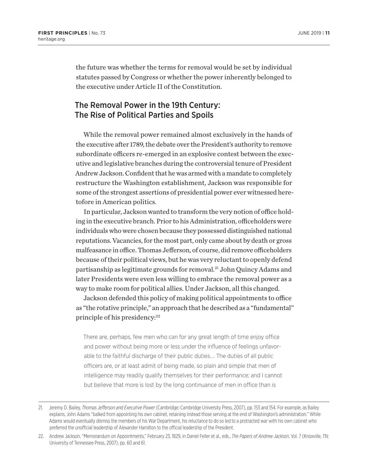the future was whether the terms for removal would be set by individual statutes passed by Congress or whether the power inherently belonged to the executive under Article II of the Constitution.

## The Removal Power in the 19th Century: The Rise of Political Parties and Spoils

While the removal power remained almost exclusively in the hands of the executive after 1789, the debate over the President's authority to remove subordinate officers re-emerged in an explosive contest between the executive and legislative branches during the controversial tenure of President Andrew Jackson. Confident that he was armed with a mandate to completely restructure the Washington establishment, Jackson was responsible for some of the strongest assertions of presidential power ever witnessed heretofore in American politics.

In particular, Jackson wanted to transform the very notion of office holding in the executive branch. Prior to his Administration, officeholders were individuals who were chosen because they possessed distinguished national reputations. Vacancies, for the most part, only came about by death or gross malfeasance in office. Thomas Jefferson, of course, did remove officeholders because of their political views, but he was very reluctant to openly defend partisanship as legitimate grounds for removal.<sup>21</sup> John Quincy Adams and later Presidents were even less willing to embrace the removal power as a way to make room for political allies. Under Jackson, all this changed.

Jackson defended this policy of making political appointments to office as "the rotative principle," an approach that he described as a "fundamental" principle of his presidency:<sup>22</sup>

There are, perhaps, few men who can for any great length of time enjoy office and power without being more or less under the influence of feelings unfavorable to the faithful discharge of their public duties…. The duties of all public officers are, or at least admit of being made, so plain and simple that men of intelligence may readily qualify themselves for their performance; and I cannot but believe that more is lost by the long continuance of men in office than is

<sup>21.</sup> Jeremy D. Bailey, *Thomas Jefferson and Executive Power* (Cambridge: Cambridge University Press, 2007), pp. 153 and 154. For example, as Bailey explains, John Adams "balked from appointing his own cabinet, retaining instead those serving at the end of Washington's administration." While Adams would eventually dismiss the members of his War Department, his reluctance to do so led to a protracted war with his own cabinet who preferred the unofficial leadership of Alexander Hamilton to the official leadership of the President.

<sup>22.</sup> Andrew Jackson, "Memorandum on Appointments," February 23, 1829, in Daniel Feller et al., eds., *The Papers of Andrew Jackson*, Vol. 7 (Knoxville, TN: University of Tennessee Press, 2007), pp. 60 and 61.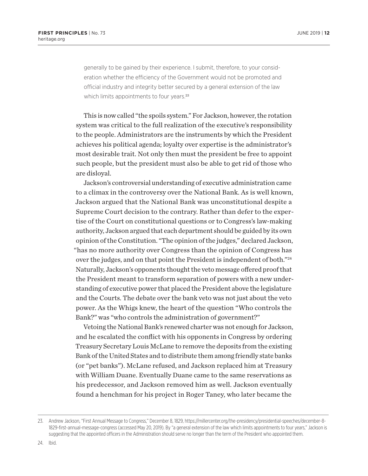generally to be gained by their experience. I submit, therefore, to your consideration whether the efficiency of the Government would not be promoted and official industry and integrity better secured by a general extension of the law which limits appointments to four years.<sup>23</sup>

This is now called "the spoils system." For Jackson, however, the rotation system was critical to the full realization of the executive's responsibility to the people. Administrators are the instruments by which the President achieves his political agenda; loyalty over expertise is the administrator's most desirable trait. Not only then must the president be free to appoint such people, but the president must also be able to get rid of those who are disloyal.

Jackson's controversial understanding of executive administration came to a climax in the controversy over the National Bank. As is well known, Jackson argued that the National Bank was unconstitutional despite a Supreme Court decision to the contrary. Rather than defer to the expertise of the Court on constitutional questions or to Congress's law-making authority, Jackson argued that each department should be guided by its own opinion of the Constitution. "The opinion of the judges," declared Jackson, "has no more authority over Congress than the opinion of Congress has over the judges, and on that point the President is independent of both."24 Naturally, Jackson's opponents thought the veto message offered proof that the President meant to transform separation of powers with a new understanding of executive power that placed the President above the legislature and the Courts. The debate over the bank veto was not just about the veto power. As the Whigs knew, the heart of the question "Who controls the Bank?" was "who controls the administration of government?"

Vetoing the National Bank's renewed charter was not enough for Jackson, and he escalated the conflict with his opponents in Congress by ordering Treasury Secretary Louis McLane to remove the deposits from the existing Bank of the United States and to distribute them among friendly state banks (or "pet banks"). McLane refused, and Jackson replaced him at Treasury with William Duane. Eventually Duane came to the same reservations as his predecessor, and Jackson removed him as well. Jackson eventually found a henchman for his project in Roger Taney, who later became the

<sup>23.</sup> Andrew Jackson, "First Annual Message to Congress," December 8, 1829, https://millercenter.org/the-presidency/presidential-speeches/december-8- 1829-first-annual-message-congress (accessed May 20, 2019). By "a general extension of the law which limits appointments to four years," Jackson is suggesting that the appointed officers in the Administration should serve no longer than the term of the President who appointed them.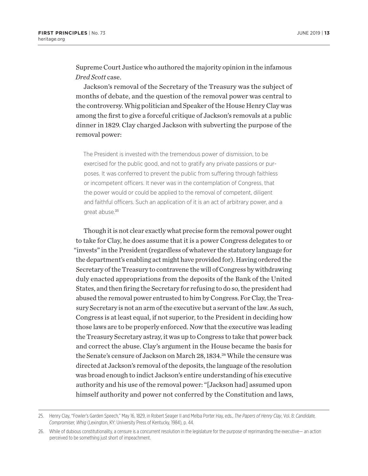Supreme Court Justice who authored the majority opinion in the infamous *Dred Scott* case.

Jackson's removal of the Secretary of the Treasury was the subject of months of debate, and the question of the removal power was central to the controversy. Whig politician and Speaker of the House Henry Clay was among the first to give a forceful critique of Jackson's removals at a public dinner in 1829. Clay charged Jackson with subverting the purpose of the removal power:

The President is invested with the tremendous power of dismission, to be exercised for the public good, and not to gratify any private passions or purposes. It was conferred to prevent the public from suffering through faithless or incompetent officers. It never was in the contemplation of Congress, that the power would or could be applied to the removal of competent, diligent and faithful officers. Such an application of it is an act of arbitrary power, and a great abuse.<sup>25</sup>

Though it is not clear exactly what precise form the removal power ought to take for Clay, he does assume that it is a power Congress delegates to or "invests" in the President (regardless of whatever the statutory language for the department's enabling act might have provided for). Having ordered the Secretary of the Treasury to contravene the will of Congress by withdrawing duly enacted appropriations from the deposits of the Bank of the United States, and then firing the Secretary for refusing to do so, the president had abused the removal power entrusted to him by Congress. For Clay, the Treasury Secretary is not an arm of the executive but a servant of the law. As such, Congress is at least equal, if not superior, to the President in deciding how those laws are to be properly enforced. Now that the executive was leading the Treasury Secretary astray, it was up to Congress to take that power back and correct the abuse. Clay's argument in the House became the basis for the Senate's censure of Jackson on March 28, 1834.<sup>26</sup> While the censure was directed at Jackson's removal of the deposits, the language of the resolution was broad enough to indict Jackson's entire understanding of his executive authority and his use of the removal power: "[Jackson had] assumed upon himself authority and power not conferred by the Constitution and laws,

<sup>25.</sup> Henry Clay, "Fowler's Garden Speech," May 16, 1829, in Robert Seager II and Melba Porter Hay, eds., *The Papers of Henry Clay*, Vol. 8: *Candidate, Compromiser, Whig* (Lexington, KY: University Press of Kentucky, 1984), p. 44.

<sup>26.</sup> While of dubious constitutionality, a censure is a concurrent resolution in the legislature for the purpose of reprimanding the executive— an action perceived to be something just short of impeachment.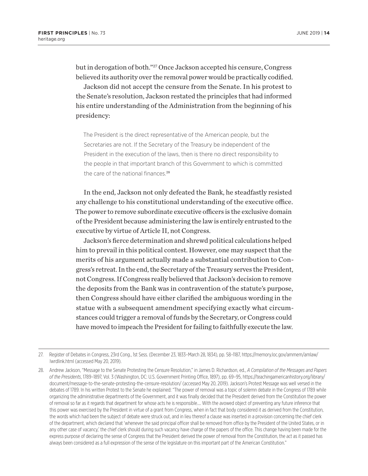but in derogation of both."27 Once Jackson accepted his censure, Congress believed its authority over the removal power would be practically codified.

Jackson did not accept the censure from the Senate. In his protest to the Senate's resolution, Jackson restated the principles that had informed his entire understanding of the Administration from the beginning of his presidency:

The President is the direct representative of the American people, but the Secretaries are not. If the Secretary of the Treasury be independent of the President in the execution of the laws, then is there no direct responsibility to the people in that important branch of this Government to which is committed the care of the national finances<sup>28</sup>

In the end, Jackson not only defeated the Bank, he steadfastly resisted any challenge to his constitutional understanding of the executive office. The power to remove subordinate executive officers is the exclusive domain of the President because administering the law is entirely entrusted to the executive by virtue of Article II, not Congress.

Jackson's fierce determination and shrewd political calculations helped him to prevail in this political contest. However, one may suspect that the merits of his argument actually made a substantial contribution to Congress's retreat. In the end, the Secretary of the Treasury serves the President, not Congress. If Congress really believed that Jackson's decision to remove the deposits from the Bank was in contravention of the statute's purpose, then Congress should have either clarified the ambiguous wording in the statue with a subsequent amendment specifying exactly what circumstances could trigger a removal of funds by the Secretary, or Congress could have moved to impeach the President for failing to faithfully execute the law.

<sup>27.</sup> Register of Debates in Congress, 23rd Cong., 1st Sess. (December 23, 1833–March 28, 1834), pp. 58–1187, https://memory.loc.gov/ammem/amlaw/ lwrdlink.html (accessed May 20, 2019).

<sup>28.</sup> Andrew Jackson, "Message to the Senate Protesting the Censure Resolution," in James D. Richardson, ed., *A Compilation of the Messages and Papers of the Presidents*, 1789–1897, Vol. 3 (Washington, DC: U.S. Government Printing Office, 1897), pp. 69–95, https://teachingamericanhistory.org/library/ document/message-to-the-senate-protesting-the-censure-resolution/ (accessed May 20, 2019). Jackson's Protest Message was well versed in the debates of 1789. In his written Protest to the Senate he explained: "The power of removal was a topic of solemn debate in the Congress of 1789 while organizing the administrative departments of the Government, and it was finally decided that the President derived from the Constitution the power of removal so far as it regards that department for whose acts he is responsible…. With the avowed object of preventing any future inference that this power was exercised by the President in virtue of a grant from Congress, when in fact that body considered it as derived from the Constitution, the words which had been the subject of debate were struck out, and in lieu thereof a clause was inserted in a provision concerning the chief clerk of the department, which declared that 'whenever the said principal officer shall be removed from office by the President of the United States, or in any other case of vacancy,' the chief clerk should during such vacancy have charge of the papers of the office. This change having been made for the express purpose of declaring the sense of Congress that the President derived the power of removal from the Constitution, the act as it passed has always been considered as a full expression of the sense of the legislature on this important part of the American Constitution."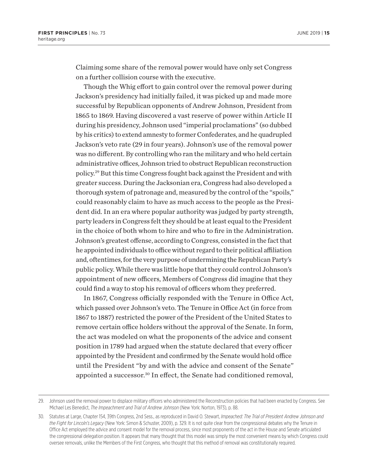Claiming some share of the removal power would have only set Congress on a further collision course with the executive.

Though the Whig effort to gain control over the removal power during Jackson's presidency had initially failed, it was picked up and made more successful by Republican opponents of Andrew Johnson, President from 1865 to 1869. Having discovered a vast reserve of power within Article II during his presidency, Johnson used "imperial proclamations" (so dubbed by his critics) to extend amnesty to former Confederates, and he quadrupled Jackson's veto rate (29 in four years). Johnson's use of the removal power was no different. By controlling who ran the military and who held certain administrative offices, Johnson tried to obstruct Republican reconstruction policy.29 But this time Congress fought back against the President and with greater success. During the Jacksonian era, Congress had also developed a thorough system of patronage and, measured by the control of the "spoils," could reasonably claim to have as much access to the people as the President did. In an era where popular authority was judged by party strength, party leaders in Congress felt they should be at least equal to the President in the choice of both whom to hire and who to fire in the Administration. Johnson's greatest offense, according to Congress, consisted in the fact that he appointed individuals to office without regard to their political affiliation and, oftentimes, for the very purpose of undermining the Republican Party's public policy. While there was little hope that they could control Johnson's appointment of new officers, Members of Congress did imagine that they could find a way to stop his removal of officers whom they preferred.

In 1867, Congress officially responded with the Tenure in Office Act, which passed over Johnson's veto. The Tenure in Office Act (in force from 1867 to 1887) restricted the power of the President of the United States to remove certain office holders without the approval of the Senate. In form, the act was modeled on what the proponents of the advice and consent position in 1789 had argued when the statute declared that every officer appointed by the President and confirmed by the Senate would hold office until the President "by and with the advice and consent of the Senate" appointed a successor.<sup>30</sup> In effect, the Senate had conditioned removal,

<sup>29.</sup> Johnson used the removal power to displace military officers who administered the Reconstruction policies that had been enacted by Congress. See Michael Les Benedict, *The Impeachment and Trial of Andrew Johnson* (New York: Norton, 1973), p. 88.

<sup>30.</sup> Statutes at Large, Chapter 154, 39th Congress, 2nd Sess., as reproduced in David O. Stewart, *Impeached: The Trial of President Andrew Johnson and the Fight for Lincoln's Legacy* (New York: Simon & Schuster, 2009), p. 329. It is not quite clear from the congressional debates why the Tenure in Office Act employed the advice and consent model for the removal process, since most proponents of the act in the House and Senate articulated the congressional delegation position. It appears that many thought that this model was simply the most convenient means by which Congress could oversee removals, unlike the Members of the First Congress, who thought that this method of removal was constitutionally required.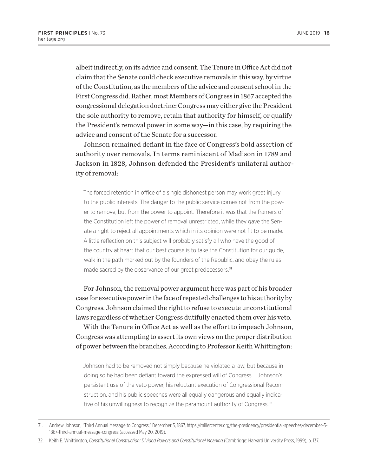albeit indirectly, on its advice and consent. The Tenure in Office Act did not claim that the Senate could check executive removals in this way, by virtue of the Constitution, as the members of the advice and consent school in the First Congress did. Rather, most Members of Congress in 1867 accepted the congressional delegation doctrine: Congress may either give the President the sole authority to remove, retain that authority for himself, or qualify the President's removal power in some way—in this case, by requiring the advice and consent of the Senate for a successor.

Johnson remained defiant in the face of Congress's bold assertion of authority over removals. In terms reminiscent of Madison in 1789 and Jackson in 1828, Johnson defended the President's unilateral authority of removal:

The forced retention in office of a single dishonest person may work great injury to the public interests. The danger to the public service comes not from the power to remove, but from the power to appoint. Therefore it was that the framers of the Constitution left the power of removal unrestricted, while they gave the Senate a right to reject all appointments which in its opinion were not fit to be made. A little reflection on this subject will probably satisfy all who have the good of the country at heart that our best course is to take the Constitution for our guide, walk in the path marked out by the founders of the Republic, and obey the rules made sacred by the observance of our great predecessors.<sup>31</sup>

For Johnson, the removal power argument here was part of his broader case for executive power in the face of repeated challenges to his authority by Congress. Johnson claimed the right to refuse to execute unconstitutional laws regardless of whether Congress dutifully enacted them over his veto.

With the Tenure in Office Act as well as the effort to impeach Johnson, Congress was attempting to assert its own views on the proper distribution of power between the branches. According to Professor Keith Whittington:

Johnson had to be removed not simply because he violated a law, but because in doing so he had been defiant toward the expressed will of Congress…. Johnson's persistent use of the veto power, his reluctant execution of Congressional Reconstruction, and his public speeches were all equally dangerous and equally indicative of his unwillingness to recognize the paramount authority of Congress.<sup>32</sup>

32. Keith E. Whittington, *Constitutional Construction: Divided Powers and Constitutional Meaning* (Cambridge: Harvard University Press, 1999), p. 137.

<sup>31.</sup> Andrew Johnson, "Third Annual Message to Congress," December 3, 1867, https://millercenter.org/the-presidency/presidential-speeches/december-3- 1867-third-annual-message-congress (accessed May 20, 2019).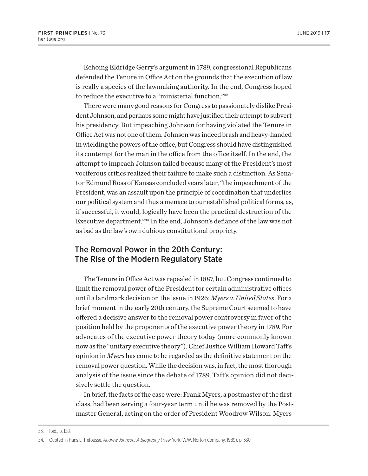Echoing Eldridge Gerry's argument in 1789, congressional Republicans defended the Tenure in Office Act on the grounds that the execution of law is really a species of the lawmaking authority. In the end, Congress hoped to reduce the executive to a "ministerial function."33

There were many good reasons for Congress to passionately dislike President Johnson, and perhaps some might have justified their attempt to subvert his presidency. But impeaching Johnson for having violated the Tenure in Office Act was not one of them. Johnson was indeed brash and heavy-handed in wielding the powers of the office, but Congress should have distinguished its contempt for the man in the office from the office itself. In the end, the attempt to impeach Johnson failed because many of the President's most vociferous critics realized their failure to make such a distinction. As Senator Edmund Ross of Kansas concluded years later, "the impeachment of the President, was an assault upon the principle of coordination that underlies our political system and thus a menace to our established political forms, as, if successful, it would, logically have been the practical destruction of the Executive department."34 In the end, Johnson's defiance of the law was not as bad as the law's own dubious constitutional propriety.

# The Removal Power in the 20th Century: The Rise of the Modern Regulatory State

The Tenure in Office Act was repealed in 1887, but Congress continued to limit the removal power of the President for certain administrative offices until a landmark decision on the issue in 1926: *Myers v. United States*. For a brief moment in the early 20th century, the Supreme Court seemed to have offered a decisive answer to the removal power controversy in favor of the position held by the proponents of the executive power theory in 1789. For advocates of the executive power theory today (more commonly known now as the "unitary executive theory"), Chief Justice William Howard Taft's opinion in *Myers* has come to be regarded as the definitive statement on the removal power question. While the decision was, in fact, the most thorough analysis of the issue since the debate of 1789, Taft's opinion did not decisively settle the question.

In brief, the facts of the case were: Frank Myers, a postmaster of the first class, had been serving a four-year term until he was removed by the Postmaster General, acting on the order of President Woodrow Wilson. Myers

<sup>33.</sup> Ibid., p. 138.

<sup>34.</sup> Quoted in Hans L. Trefousse, *Andrew Johnson: A Biography* (New York: W.W. Norton Company, 1989), p. 330.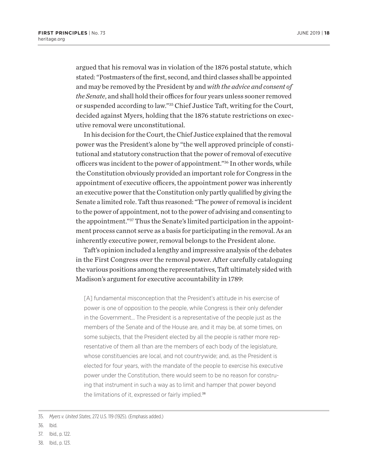argued that his removal was in violation of the 1876 postal statute, which stated: "Postmasters of the first, second, and third classes shall be appointed and may be removed by the President by and *with the advice and consent of the Senate*, and shall hold their offices for four years unless sooner removed or suspended according to law."35 Chief Justice Taft, writing for the Court, decided against Myers, holding that the 1876 statute restrictions on executive removal were unconstitutional.

In his decision for the Court, the Chief Justice explained that the removal power was the President's alone by "the well approved principle of constitutional and statutory construction that the power of removal of executive officers was incident to the power of appointment."36 In other words, while the Constitution obviously provided an important role for Congress in the appointment of executive officers, the appointment power was inherently an executive power that the Constitution only partly qualified by giving the Senate a limited role. Taft thus reasoned: "The power of removal is incident to the power of appointment, not to the power of advising and consenting to the appointment."37 Thus the Senate's limited participation in the appointment process cannot serve as a basis for participating in the removal. As an inherently executive power, removal belongs to the President alone.

Taft's opinion included a lengthy and impressive analysis of the debates in the First Congress over the removal power. After carefully cataloguing the various positions among the representatives, Taft ultimately sided with Madison's argument for executive accountability in 1789:

[A] fundamental misconception that the President's attitude in his exercise of power is one of opposition to the people, while Congress is their only defender in the Government… The President is a representative of the people just as the members of the Senate and of the House are, and it may be, at some times, on some subjects, that the President elected by all the people is rather more representative of them all than are the members of each body of the legislature, whose constituencies are local, and not countrywide; and, as the President is elected for four years, with the mandate of the people to exercise his executive power under the Constitution, there would seem to be no reason for construing that instrument in such a way as to limit and hamper that power beyond the limitations of it, expressed or fairly implied.<sup>38</sup>

- 36. Ibid.
- 37. Ibid., p. 122.
- 38. Ibid., p. 123.

<sup>35.</sup> *Myers v. United States*, 272 U.S. 119 (1925). (Emphasis added.)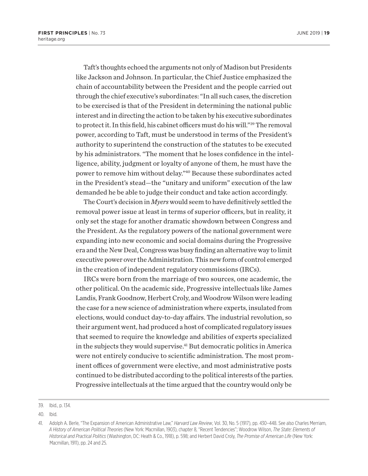Taft's thoughts echoed the arguments not only of Madison but Presidents like Jackson and Johnson. In particular, the Chief Justice emphasized the chain of accountability between the President and the people carried out through the chief executive's subordinates: "In all such cases, the discretion to be exercised is that of the President in determining the national public interest and in directing the action to be taken by his executive subordinates to protect it. In this field, his cabinet officers must do his will."39 The removal power, according to Taft, must be understood in terms of the President's authority to superintend the construction of the statutes to be executed by his administrators. "The moment that he loses confidence in the intelligence, ability, judgment or loyalty of anyone of them, he must have the power to remove him without delay."40 Because these subordinates acted in the President's stead—the "unitary and uniform" execution of the law demanded he be able to judge their conduct and take action accordingly.

The Court's decision in *Myers* would seem to have definitively settled the removal power issue at least in terms of superior officers, but in reality, it only set the stage for another dramatic showdown between Congress and the President. As the regulatory powers of the national government were expanding into new economic and social domains during the Progressive era and the New Deal, Congress was busy finding an alternative way to limit executive power over the Administration. This new form of control emerged in the creation of independent regulatory commissions (IRCs).

IRCs were born from the marriage of two sources, one academic, the other political. On the academic side, Progressive intellectuals like James Landis, Frank Goodnow, Herbert Croly, and Woodrow Wilson were leading the case for a new science of administration where experts, insulated from elections, would conduct day-to-day affairs. The industrial revolution, so their argument went, had produced a host of complicated regulatory issues that seemed to require the knowledge and abilities of experts specialized in the subjects they would supervise.<sup>41</sup> But democratic politics in America were not entirely conducive to scientific administration. The most prominent offices of government were elective, and most administrative posts continued to be distributed according to the political interests of the parties. Progressive intellectuals at the time argued that the country would only be

<sup>39.</sup> Ibid., p. 134.

<sup>40.</sup> Ibid.

<sup>41.</sup> Adolph A. Berle, "The Expansion of American Administrative Law," *Harvard Law Review*, Vol. 30, No. 5 (1917), pp. 430–448. See also Charles Merriam, *A History of American Political Theories* (New York: Macmillan, 1903), chapter 8, "Recent Tendencies"; Woodrow Wilson, *The State: Elements of Historical and Practical Politics* (Washington, DC: Heath & Co., 1918), p. 598; and Herbert David Croly, *The Promise of American Life* (New York: Macmillan, 1911), pp. 24 and 25.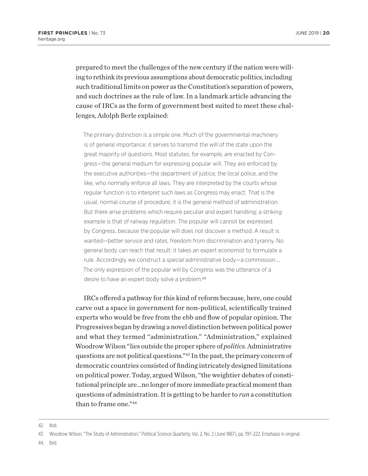prepared to meet the challenges of the new century if the nation were willing to rethink its previous assumptions about democratic politics, including such traditional limits on power as the Constitution's separation of powers, and such doctrines as the rule of law. In a landmark article advancing the cause of IRCs as the form of government best suited to meet these challenges, Adolph Berle explained:

The primary distinction is a simple one. Much of the governmental machinery is of general importance; it serves to transmit the will of the state upon the great majority of questions. Most statutes, for example, are enacted by Congress—the general medium for expressing popular will. They are enforced by the executive authorities—the department of justice, the local police, and the like, who normally enforce all laws. They are interpreted by the courts whose regular function is to interpret such laws as Congress may enact. That is the usual, normal course of procedure; it is the general method of administration. But there arise problems which require peculiar and expert handling; a striking example is that of railway regulation. The popular will cannot be expressed by Congress, because the popular will does not discover a method. A result is wanted—better service and rates, freedom from discrimination and tyranny. No general body can reach that result: it takes an expert economist to formulate a rule. Accordingly we construct a *special* administrative body—a commission…. The only expression of the popular will by Congress was the utterance of a desire to have an expert body solve a problem.<sup>42</sup>

IRCs offered a pathway for this kind of reform because, here, one could carve out a space in government for non-political, scientifically trained experts who would be free from the ebb and flow of popular opinion. The Progressives began by drawing a novel distinction between political power and what they termed "administration." "Administration," explained Woodrow Wilson "lies outside the proper sphere of *politics*. Administrative questions are not political questions."43 In the past, the primary concern of democratic countries consisted of finding intricately designed limitations on political power. Today, argued Wilson, "the weightier debates of constitutional principle are…no longer of more immediate practical moment than questions of administration. It is getting to be harder to *run* a constitution than to frame one."44

44. Ibid.

<sup>42.</sup> Ibid.

<sup>43.</sup> Woodrow Wilson, "The Study of Administration," Political Science Quarterly, Vol. 2, No. 2 (June 1887), pp. 197–222. Emphasis in original.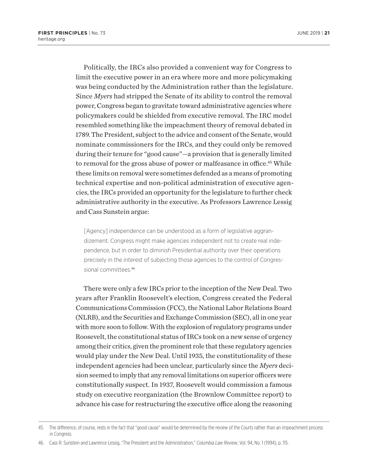Politically, the IRCs also provided a convenient way for Congress to limit the executive power in an era where more and more policymaking was being conducted by the Administration rather than the legislature. Since *Myers* had stripped the Senate of its ability to control the removal power, Congress began to gravitate toward administrative agencies where policymakers could be shielded from executive removal. The IRC model resembled something like the impeachment theory of removal debated in 1789. The President, subject to the advice and consent of the Senate, would nominate commissioners for the IRCs, and they could only be removed during their tenure for "good cause"—a provision that is generally limited to removal for the gross abuse of power or malfeasance in office.<sup>45</sup> While these limits on removal were sometimes defended as a means of promoting technical expertise and non-political administration of executive agencies, the IRCs provided an opportunity for the legislature to further check administrative authority in the executive. As Professors Lawrence Lessig and Cass Sunstein argue:

[Agency] independence can be understood as a form of legislative aggrandizement. Congress might make agencies independent not to create real independence, but in order to diminish Presidential authority over their operations precisely in the interest of subjecting those agencies to the control of Congressional committees.<sup>46</sup>

There were only a few IRCs prior to the inception of the New Deal. Two years after Franklin Roosevelt's election, Congress created the Federal Communications Commission (FCC), the National Labor Relations Board (NLRB), and the Securities and Exchange Commission (SEC), all in one year with more soon to follow. With the explosion of regulatory programs under Roosevelt, the constitutional status of IRCs took on a new sense of urgency among their critics, given the prominent role that these regulatory agencies would play under the New Deal. Until 1935, the constitutionality of these independent agencies had been unclear, particularly since the *Myers* decision seemed to imply that any removal limitations on superior officers were constitutionally suspect. In 1937, Roosevelt would commission a famous study on executive reorganization (the Brownlow Committee report) to advance his case for restructuring the executive office along the reasoning

<sup>45.</sup> The difference, of course, rests in the fact that "good cause" would be determined by the review of the Courts rather than an impeachment process in Congress.

<sup>46.</sup> Cass R. Sunstein and Lawrence Lessig, "The President and the Administration," *Columbia Law Review*, Vol. 94, No. 1 (1994), p. 115.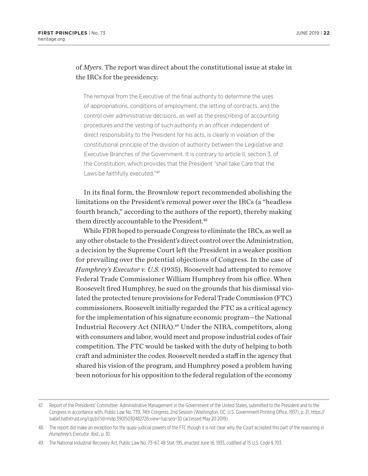#### of *Myers*. The report was direct about the constitutional issue at stake in the IRCs for the presidency:

The removal from the Executive of the final authority to determine the uses of appropriations, conditions of employment, the letting of contracts, and the control over administrative decisions, as well as the prescribing of accounting procedures and the vesting of such authority in an officer independent of direct responsibility to the President for his acts, is clearly in violation of the constitutional principle of the division of authority between the Legislative and Executive Branches of the Government. It is contrary to article II, section 3, of the Constitution, which provides that the President "shall take Care that the Laws be faithfully executed."47

In its final form, the Brownlow report recommended abolishing the limitations on the President's removal power over the IRCs (a "headless fourth branch," according to the authors of the report), thereby making them directly accountable to the President.<sup>48</sup>

While FDR hoped to persuade Congress to eliminate the IRCs, as well as any other obstacle to the President's direct control over the Administration, a decision by the Supreme Court left the President in a weaker position for prevailing over the potential objections of Congress. In the case of *Humphrey's Executor v. U.S.* (1935), Roosevelt had attempted to remove Federal Trade Commissioner William Humphrey from his office. When Roosevelt fired Humphrey, he sued on the grounds that his dismissal violated the protected tenure provisions for Federal Trade Commission (FTC) commissioners. Roosevelt initially regarded the FTC as a critical agency for the implementation of his signature economic program—the National Industrial Recovery Act (NIRA).49 Under the NIRA, competitors, along with consumers and labor, would meet and propose industrial codes of fair competition. The FTC would be tasked with the duty of helping to both craft and administer the codes. Roosevelt needed a staff in the agency that shared his vision of the program, and Humphrey posed a problem having been notorious for his opposition to the federal regulation of the economy

<sup>47.</sup> Report of the Presidents' Committee: Administrative Management in the Government of the United States, submitted to the President and to the Congress in accordance with. Public Law No. 739, 74th Congress, 2nd Session (Washington, DC: U.S. Government Printing Office, 1937), p. 21, https:// babel.hathitrust.org/cgi/pt?id=mdp.39015030482726;view=1up;seq=30 (accessed May 20 2019).

<sup>48.</sup> The report did make an exception for the quasi-judicial powers of the FTC though it is not clear why the Court accepted this part of the reasoning in *Humphrey's Executor*. Ibid., p. 10*.*

<sup>49.</sup> The National Industrial Recovery Act, Public Law No. 73–67, 48 Stat. 195, enacted June 16, 1933, codified at 15 U.S. Code § 703.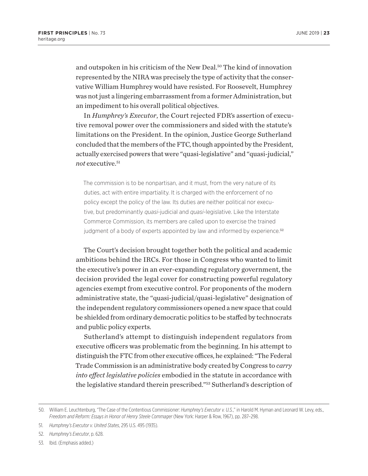and outspoken in his criticism of the New Deal.50 The kind of innovation represented by the NIRA was precisely the type of activity that the conservative William Humphrey would have resisted. For Roosevelt, Humphrey was not just a lingering embarrassment from a former Administration, but an impediment to his overall political objectives.

In *Humphrey's Executor*, the Court rejected FDR's assertion of executive removal power over the commissioners and sided with the statute's limitations on the President. In the opinion, Justice George Sutherland concluded that the members of the FTC, though appointed by the President, actually exercised powers that were "quasi-legislative" and "quasi-judicial," not executive.<sup>51</sup>

The commission is to be nonpartisan, and it must, from the very nature of its duties, act with entire impartiality. It is charged with the enforcement of no policy except the policy of the law. Its duties are neither political nor executive, but predominantly *quasi*-judicial and *quasi*-legislative. Like the Interstate Commerce Commission, its members are called upon to exercise the trained judgment of a body of experts appointed by law and informed by experience.<sup>52</sup>

The Court's decision brought together both the political and academic ambitions behind the IRCs. For those in Congress who wanted to limit the executive's power in an ever-expanding regulatory government, the decision provided the legal cover for constructing powerful regulatory agencies exempt from executive control. For proponents of the modern administrative state, the "quasi-judicial/quasi-legislative" designation of the independent regulatory commissioners opened a new space that could be shielded from ordinary democratic politics to be staffed by technocrats and public policy experts.

Sutherland's attempt to distinguish independent regulators from executive officers was problematic from the beginning. In his attempt to distinguish the FTC from other executive offices, he explained: "The Federal Trade Commission is an administrative body created by Congress to *carry into effect legislative policies* embodied in the statute in accordance with the legislative standard therein prescribed."53 Sutherland's description of

<sup>50.</sup> William E. Leuchtenburg, "The Case of the Contentious Commissioner: *Humphrey's Executor v. U.S.*," in Harold M. Hyman and Leonard W. Levy, eds., *Freedom and Reform: Essays in Honor of Henry Steele Commager* (New York: Harper & Row, 1967), pp. 287–298.

<sup>51.</sup> *Humphrey's Executor v. United States*, 295 U.S. 495 (1935).

<sup>52.</sup> *Humphrey's Executor*, p. 628.

<sup>53.</sup> Ibid. (Emphasis added.)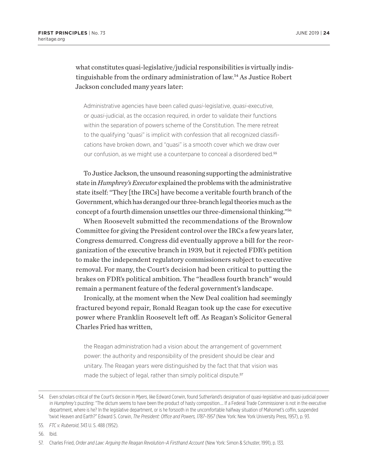#### what constitutes quasi-legislative/judicial responsibilities is virtually indistinguishable from the ordinary administration of law.54 As Justice Robert Jackson concluded many years later:

Administrative agencies have been called *quasi*-legislative, *quasi*-executive, or *quasi*-judicial, as the occasion required, in order to validate their functions within the separation of powers scheme of the Constitution. The mere retreat to the qualifying "quasi" is implicit with confession that all recognized classifications have broken down, and "quasi" is a smooth cover which we draw over our confusion, as we might use a counterpane to conceal a disordered bed.<sup>55</sup>

To Justice Jackson, the unsound reasoning supporting the administrative state in *Humphrey's Executor* explained the problems with the administrative state itself: "They [the IRCs] have become a veritable fourth branch of the Government, which has deranged our three-branch legal theories much as the concept of a fourth dimension unsettles our three-dimensional thinking."56

When Roosevelt submitted the recommendations of the Brownlow Committee for giving the President control over the IRCs a few years later, Congress demurred. Congress did eventually approve a bill for the reorganization of the executive branch in 1939, but it rejected FDR's petition to make the independent regulatory commissioners subject to executive removal. For many, the Court's decision had been critical to putting the brakes on FDR's political ambition. The "headless fourth branch" would remain a permanent feature of the federal government's landscape.

Ironically, at the moment when the New Deal coalition had seemingly fractured beyond repair, Ronald Reagan took up the case for executive power where Franklin Roosevelt left off. As Reagan's Solicitor General Charles Fried has written,

the Reagan administration had a vision about the arrangement of government power: the authority and responsibility of the president should be clear and unitary. The Reagan years were distinguished by the fact that that vision was made the subject of legal, rather than simply political dispute.<sup>57</sup>

56. Ibid.

<sup>54.</sup> Even scholars critical of the Court's decision in *Myers*, like Edward Corwin, found Sutherland's designation of quasi-legislative and quasi-judicial power in *Humphrey's* puzzling: "The dictum seems to have been the product of hasty composition…. If a Federal Trade Commissioner is not in the executive department, where is he? In the legislative department, or is he forsooth in the uncomfortable halfway situation of Mahomet's coffin, suspended 'twixt Heaven and Earth?" Edward S. Corwin, *The President: Office and Powers, 1787–1957* (New York: New York University Press, 1957), p. 93.

<sup>55.</sup> *FTC v. Ruberoid*, 343 U. S. 488 (1952).

<sup>57.</sup> Charles Fried, *Order and Law: Arguing the Reagan Revolution–A Firsthand Account* (New York: Simon & Schuster, 1991), p. 133.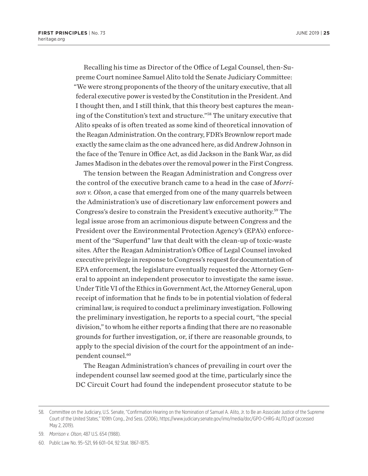Recalling his time as Director of the Office of Legal Counsel, then-Supreme Court nominee Samuel Alito told the Senate Judiciary Committee: "We were strong proponents of the theory of the unitary executive, that all federal executive power is vested by the Constitution in the President. And I thought then, and I still think, that this theory best captures the meaning of the Constitution's text and structure."58 The unitary executive that Alito speaks of is often treated as some kind of theoretical innovation of the Reagan Administration. On the contrary, FDR's Brownlow report made exactly the same claim as the one advanced here, as did Andrew Johnson in the face of the Tenure in Office Act, as did Jackson in the Bank War, as did James Madison in the debates over the removal power in the First Congress.

The tension between the Reagan Administration and Congress over the control of the executive branch came to a head in the case of *Morrison v. Olson*, a case that emerged from one of the many quarrels between the Administration's use of discretionary law enforcement powers and Congress's desire to constrain the President's executive authority.59 The legal issue arose from an acrimonious dispute between Congress and the President over the Environmental Protection Agency's (EPA's) enforcement of the "Superfund" law that dealt with the clean-up of toxic-waste sites. After the Reagan Administration's Office of Legal Counsel invoked executive privilege in response to Congress's request for documentation of EPA enforcement, the legislature eventually requested the Attorney General to appoint an independent prosecutor to investigate the same issue. Under Title VI of the Ethics in Government Act, the Attorney General, upon receipt of information that he finds to be in potential violation of federal criminal law, is required to conduct a preliminary investigation. Following the preliminary investigation, he reports to a special court, "the special division," to whom he either reports a finding that there are no reasonable grounds for further investigation, or, if there are reasonable grounds, to apply to the special division of the court for the appointment of an independent counsel.60

The Reagan Administration's chances of prevailing in court over the independent counsel law seemed good at the time, particularly since the DC Circuit Court had found the independent prosecutor statute to be

<sup>58.</sup> Committee on the Judiciary, U.S. Senate, "Confirmation Hearing on the Nomination of Samuel A. Alito, Jr. to Be an Associate Justice of the Supreme Court of the United States," 109th Cong., 2nd Sess. (2006), https://www.judiciary.senate.gov/imo/media/doc/GPO-CHRG-ALITO.pdf (accessed May 2, 2019).

<sup>59.</sup> *Morrison v. Olson*, 487 U.S. 654 (1988).

<sup>60.</sup> Public Law No. 95–521, §§ 601–04, 92 Stat. 1867–1875.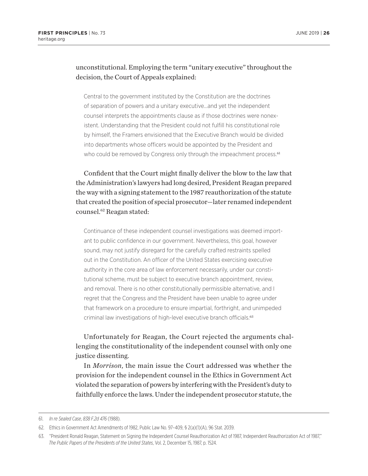#### unconstitutional. Employing the term "unitary executive" throughout the decision, the Court of Appeals explained:

Central to the government instituted by the Constitution are the doctrines of separation of powers and a unitary executive…and yet the independent counsel interprets the appointments clause as if those doctrines were nonexistent. Understanding that the President could not fulfill his constitutional role by himself, the Framers envisioned that the Executive Branch would be divided into departments whose officers would be appointed by the President and who could be removed by Congress only through the impeachment process.<sup>61</sup>

Confident that the Court might finally deliver the blow to the law that the Administration's lawyers had long desired, President Reagan prepared the way with a signing statement to the 1987 reauthorization of the statute that created the position of special prosecutor—later renamed independent counsel.62 Reagan stated:

Continuance of these independent counsel investigations was deemed important to public confidence in our government. Nevertheless, this goal, however sound, may not justify disregard for the carefully crafted restraints spelled out in the Constitution. An officer of the United States exercising executive authority in the core area of law enforcement necessarily, under our constitutional scheme, must be subject to executive branch appointment, review, and removal. There is no other constitutionally permissible alternative, and I regret that the Congress and the President have been unable to agree under that framework on a procedure to ensure impartial, forthright, and unimpeded criminal law investigations of high-level executive branch officials.<sup>63</sup>

#### Unfortunately for Reagan, the Court rejected the arguments challenging the constitutionality of the independent counsel with only one justice dissenting.

In *Morrison*, the main issue the Court addressed was whether the provision for the independent counsel in the Ethics in Government Act violated the separation of powers by interfering with the President's duty to faithfully enforce the laws. Under the independent prosecutor statute, the

<sup>61.</sup> *In re Sealed Case*, *838 F.2d 476* (1988).

<sup>62.</sup> Ethics in Government Act Amendments of 1982, Public Law No. 97–409, § 2(a)(1)(A), 96 Stat. 2039.

<sup>63.</sup> "President Ronald Reagan, Statement on Signing the Independent Counsel Reauthorization Act of 1987, Independent Reauthorization Act of 1987," *The Public Papers of the Presidents of the United States*, Vol. 2, December 15, 1987, p. 1524.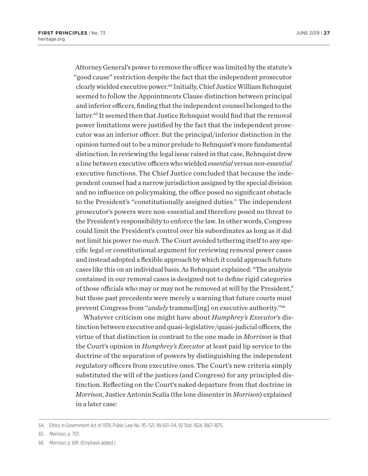Attorney General's power to remove the officer was limited by the statute's "good cause" restriction despite the fact that the independent prosecutor clearly wielded executive power.64 Initially, Chief Justice William Rehnquist seemed to follow the Appointments Clause distinction between principal and inferior officers, finding that the independent counsel belonged to the latter.<sup>65</sup> It seemed then that Justice Rehnquist would find that the removal power limitations were justified by the fact that the independent prosecutor was an inferior officer. But the principal/inferior distinction in the opinion turned out to be a minor prelude to Rehnquist's more fundamental distinction. In reviewing the legal issue raised in that case, Rehnquist drew a line between executive officers who wielded *essential* versus *non-essential* executive functions. The Chief Justice concluded that because the independent counsel had a narrow jurisdiction assigned by the special division and no influence on policymaking, the office posed no significant obstacle to the President's "constitutionally assigned duties." The independent prosecutor's powers were non-essential and therefore posed no threat to the President's responsibility to enforce the law. In other words, Congress could limit the President's control over his subordinates as long as it did not limit his power *too much*. The Court avoided tethering itself to any specific legal or constitutional argument for reviewing removal power cases and instead adopted a flexible approach by which it could approach future cases like this on an individual basis. As Rehnquist explained: "The analysis contained in our removal cases is designed not to define rigid categories of those officials who may or may not be removed at will by the President," but those past precedents were merely a warning that future courts must prevent Congress from "*unduly* trammel[ing] on executive authority."66

Whatever criticism one might have about *Humphrey's Executor*'s distinction between executive and quasi-legislative/quasi-judicial officers, the virtue of that distinction in contrast to the one made in *Morrison* is that the Court's opinion in *Humphrey's Executor* at least paid lip service to the doctrine of the separation of powers by distinguishing the independent regulatory officers from executive ones. The Court's new criteria simply substituted the will of the justices (and Congress) for any principled distinction. Reflecting on the Court's naked departure from that doctrine in *Morrison*, Justice Antonin Scalia (the lone dissenter in *Morrison*) explained in a later case:

- 65. *Morrison*, p. 703.
- 66. *Morrison*, p. 691. (Emphasis added.)

<sup>64.</sup> Ethics in Government Act of 1978, Public Law No. 95–521, §§ 601–04, 92 Stat. 1824, 1867–1875.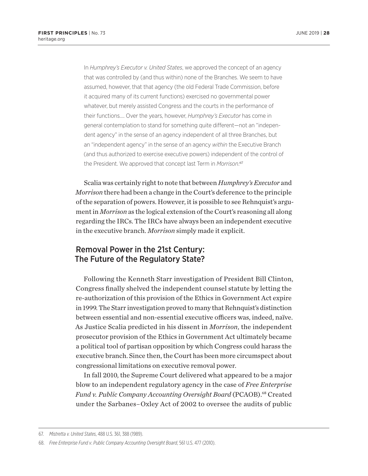In *Humphrey's Executor v. United States*, we approved the concept of an agency that was controlled by (and thus within) none of the Branches. We seem to have assumed, however, that that agency (the old Federal Trade Commission, before it acquired many of its current functions) exercised no governmental power whatever, but merely assisted Congress and the courts in the performance of their functions…. Over the years, however, *Humphrey's Executor* has come in general contemplation to stand for something quite different—not an "independent agency" in the sense of an agency independent of all three Branches, but an "independent agency" in the sense of an agency *within* the Executive Branch (and thus authorized to exercise executive powers) independent of the control of the President. We approved that concept last Term in *Morrison*. 67

Scalia was certainly right to note that between *Humphrey's Executor* and *Morrison* there had been a change in the Court's deference to the principle of the separation of powers. However, it is possible to see Rehnquist's argument in *Morrison* as the logical extension of the Court's reasoning all along regarding the IRCs. The IRCs have always been an independent executive in the executive branch. *Morrison* simply made it explicit.

# Removal Power in the 21st Century: The Future of the Regulatory State?

Following the Kenneth Starr investigation of President Bill Clinton, Congress finally shelved the independent counsel statute by letting the re-authorization of this provision of the Ethics in Government Act expire in 1999. The Starr investigation proved to many that Rehnquist's distinction between essential and non-essential executive officers was, indeed, naïve. As Justice Scalia predicted in his dissent in *Morrison*, the independent prosecutor provision of the Ethics in Government Act ultimately became a political tool of partisan opposition by which Congress could harass the executive branch. Since then, the Court has been more circumspect about congressional limitations on executive removal power.

In fall 2010, the Supreme Court delivered what appeared to be a major blow to an independent regulatory agency in the case of *Free Enterprise*  Fund v. Public Company Accounting Oversight Board (PCAOB).<sup>68</sup> Created under the Sarbanes–Oxley Act of 2002 to oversee the audits of public

<sup>67.</sup> *Mistretta v. United States*, 488 U.S. 361, 388 (1989).

<sup>68.</sup> *Free Enterprise Fund v*. *Public Company Accounting Oversight Board*, 561 U.S. 477 (2010).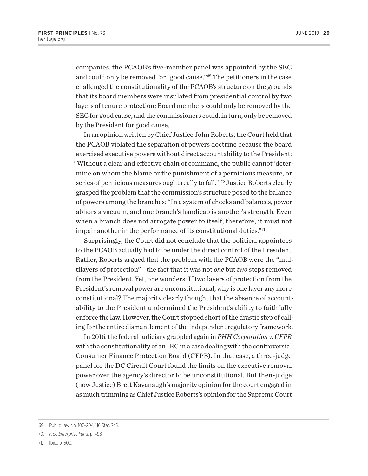companies, the PCAOB's five-member panel was appointed by the SEC and could only be removed for "good cause."69 The petitioners in the case challenged the constitutionality of the PCAOB's structure on the grounds that its board members were insulated from presidential control by two layers of tenure protection: Board members could only be removed by the SEC for good cause, and the commissioners could, in turn, only be removed by the President for good cause.

In an opinion written by Chief Justice John Roberts, the Court held that the PCAOB violated the separation of powers doctrine because the board exercised executive powers without direct accountability to the President: "Without a clear and effective chain of command, the public cannot 'determine on whom the blame or the punishment of a pernicious measure, or series of pernicious measures ought really to fall.'"70 Justice Roberts clearly grasped the problem that the commission's structure posed to the balance of powers among the branches: "In a system of checks and balances, power abhors a vacuum, and one branch's handicap is another's strength. Even when a branch does not arrogate power to itself, therefore, it must not impair another in the performance of its constitutional duties."71

Surprisingly, the Court did not conclude that the political appointees to the PCAOB actually had to be under the direct control of the President. Rather, Roberts argued that the problem with the PCAOB were the "multilayers of protection"—the fact that it was not *one* but *two* steps removed from the President. Yet, one wonders: If two layers of protection from the President's removal power are unconstitutional, why is one layer any more constitutional? The majority clearly thought that the absence of accountability to the President undermined the President's ability to faithfully enforce the law. However, the Court stopped short of the drastic step of calling for the entire dismantlement of the independent regulatory framework.

In 2016, the federal judiciary grappled again in *PHH Corporation v. CFPB* with the constitutionality of an IRC in a case dealing with the controversial Consumer Finance Protection Board (CFPB). In that case, a three-judge panel for the DC Circuit Court found the limits on the executive removal power over the agency's director to be unconstitutional. But then-judge (now Justice) Brett Kavanaugh's majority opinion for the court engaged in as much trimming as Chief Justice Roberts's opinion for the Supreme Court

<sup>69.</sup> Public Law No. 107–204, 116 Stat. 745.

<sup>70.</sup> *Free Enterprise Fund*, p. 498.

<sup>71.</sup> Ibid., p. 500.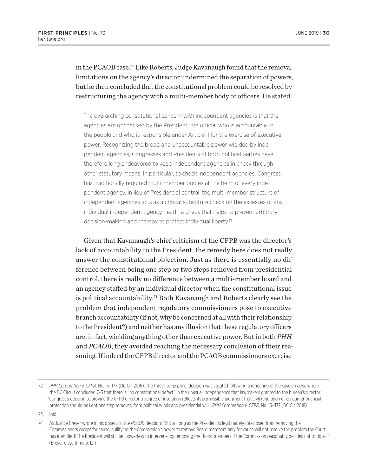in the PCAOB case.72 Like Roberts, Judge Kavanaugh found that the removal limitations on the agency's director undermined the separation of powers, but he then concluded that the constitutional problem could be resolved by restructuring the agency with a multi-member body of officers. He stated:

The overarching constitutional concern with independent agencies is that the agencies are unchecked by the President, the official who is accountable to the people and who is responsible under Article II for the exercise of executive power. Recognizing the broad and unaccountable power wielded by independent agencies, Congresses and Presidents of both political parties have therefore long endeavored to keep independent agencies in check through other statutory means. In particular, to check independent agencies, Congress has traditionally required multi-member bodies at the helm of every independent agency. In lieu of Presidential control, the multi-member structure of independent agencies acts as a critical substitute check on the excesses of any individual independent agency head—a check that helps to prevent arbitrary decision-making and thereby to protect individual liberty.<sup>73</sup>

Given that Kavanaugh's chief criticism of the CFPB was the director's lack of accountability to the President, the remedy here does not really answer the constitutional objection. Just as there is essentially no difference between being one step or two steps removed from presidential control, there is really no difference between a multi-member board and an agency staffed by an individual director when the constitutional issue is political accountability.74 Both Kavanaugh and Roberts clearly see the problem that independent regulatory commissioners pose to executive branch accountability (if not, why be concerned at all with their relationship to the President?) and neither has any illusion that these regulatory officers are, in fact, wielding anything other than executive power. But in both *PHH*  and *PCAOB*, they avoided reaching the necessary conclusion of their reasoning. If indeed the CFPB director and the PCAOB commissioners exercise

<sup>72.</sup> *PHH Corporation v. CFPB*, No. 15-1177 (DC Cir. 2016). The three-judge panel decision was vacated following a rehearing of the case *en banc* where the DC Circuit concluded 7–3 that there is "no constitutional defect" in the unusual independence that lawmakers granted to the bureau's director: "Congress's decision to provide the CFPB director a degree of insulation reflects its permissible judgment that civil regulation of consumer financial protection should be kept one step removed from political winds and presidential will." *PHH Corporation v. CFPB*, No. 15-1177 (DC Cir. 2018).

<sup>73.</sup> Ibid.

<sup>74.</sup> As Justice Breyer wrote in his dissent in the *PCAOB* decision: "But so long as the President is legitimately foreclosed from removing the Commissioners except for cause, nullifying the Commission's power to remove Board members only for cause will not resolve the problem the Court has identified: The President will still be 'powerless to intervene' by removing the Board members if the Commission reasonably decides not to do so." (Breyer dissenting, p. 12.)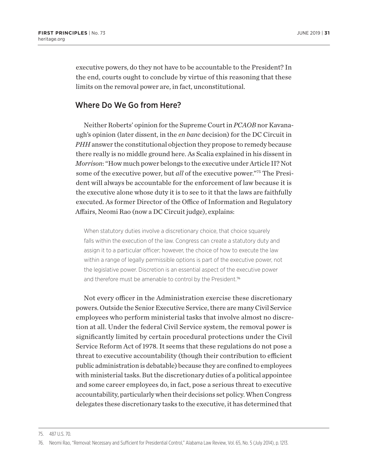executive powers, do they not have to be accountable to the President? In the end, courts ought to conclude by virtue of this reasoning that these limits on the removal power are, in fact, unconstitutional.

#### Where Do We Go from Here?

Neither Roberts' opinion for the Supreme Court in *PCAOB* nor Kavanaugh's opinion (later dissent, in the *en banc* decision) for the DC Circuit in *PHH* answer the constitutional objection they propose to remedy because there really is no middle ground here. As Scalia explained in his dissent in *Morrison*: "How much power belongs to the executive under Article II? Not some of the executive power, but *all* of the executive power."75 The President will always be accountable for the enforcement of law because it is the executive alone whose duty it is to see to it that the laws are faithfully executed. As former Director of the Office of Information and Regulatory Affairs, Neomi Rao (now a DC Circuit judge), explains:

When statutory duties involve a discretionary choice, that choice squarely falls within the execution of the law. Congress can create a statutory duty and assign it to a particular officer; however, the choice of how to execute the law within a range of legally permissible options is part of the executive power, not the legislative power. Discretion is an essential aspect of the executive power and therefore must be amenable to control by the President.<sup>76</sup>

Not every officer in the Administration exercise these discretionary powers. Outside the Senior Executive Service, there are many Civil Service employees who perform ministerial tasks that involve almost no discretion at all. Under the federal Civil Service system, the removal power is significantly limited by certain procedural protections under the Civil Service Reform Act of 1978. It seems that these regulations do not pose a threat to executive accountability (though their contribution to efficient public administration is debatable) because they are confined to employees with ministerial tasks. But the discretionary duties of a political appointee and some career employees do, in fact, pose a serious threat to executive accountability, particularly when their decisions set policy. When Congress delegates these discretionary tasks to the executive, it has determined that

<sup>75.</sup> 487 U.S. 70.

<sup>76.</sup> Neomi Rao, "Removal: Necessary and Sufficient for Presidential Control," Alabama Law Review, Vol. 65, No. 5 (July 2014), p. 1213.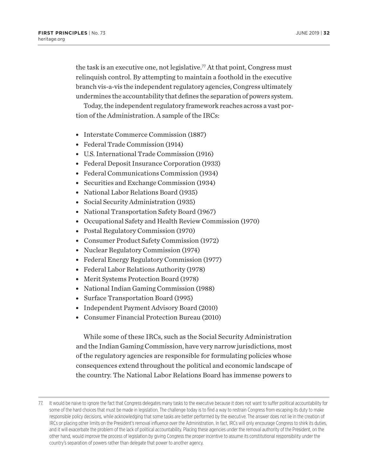the task is an executive one, not legislative.<sup>77</sup> At that point, Congress must relinquish control. By attempting to maintain a foothold in the executive branch vis-a-vis the independent regulatory agencies, Congress ultimately undermines the accountability that defines the separation of powers system.

Today, the independent regulatory framework reaches across a vast portion of the Administration. A sample of the IRCs:

- Interstate Commerce Commission (1887)
- Federal Trade Commission (1914)
- U.S. International Trade Commission (1916)
- Federal Deposit Insurance Corporation (1933)
- Federal Communications Commission (1934)
- Securities and Exchange Commission (1934)
- National Labor Relations Board (1935)
- Social Security Administration (1935)
- National Transportation Safety Board (1967)
- Occupational Safety and Health Review Commission (1970)
- Postal Regulatory Commission (1970)
- Consumer Product Safety Commission (1972)
- Nuclear Regulatory Commission (1974)
- Federal Energy Regulatory Commission (1977)
- Federal Labor Relations Authority (1978)
- Merit Systems Protection Board (1978)
- National Indian Gaming Commission (1988)
- Surface Transportation Board (1995)
- Independent Payment Advisory Board (2010)
- Consumer Financial Protection Bureau (2010)

While some of these IRCs, such as the Social Security Administration and the Indian Gaming Commission, have very narrow jurisdictions, most of the regulatory agencies are responsible for formulating policies whose consequences extend throughout the political and economic landscape of the country. The National Labor Relations Board has immense powers to

<sup>77.</sup> It would be naive to ignore the fact that Congress delegates many tasks to the executive because it does not want to suffer political accountability for some of the hard choices that must be made in legislation. The challenge today is to find a way to restrain Congress from escaping its duty to make responsible policy decisions, while acknowledging that some tasks are better performed by the executive. The answer does not lie in the creation of IRCs or placing other limits on the President's removal influence over the Administration. In fact, IRCs will only encourage Congress to shirk its duties, and it will exacerbate the problem of the lack of political accountability. Placing these agencies under the removal authority of the President, on the other hand, would improve the process of legislation by giving Congress the proper incentive to assume its constitutional responsibility under the country's separation of powers rather than delegate that power to another agency.